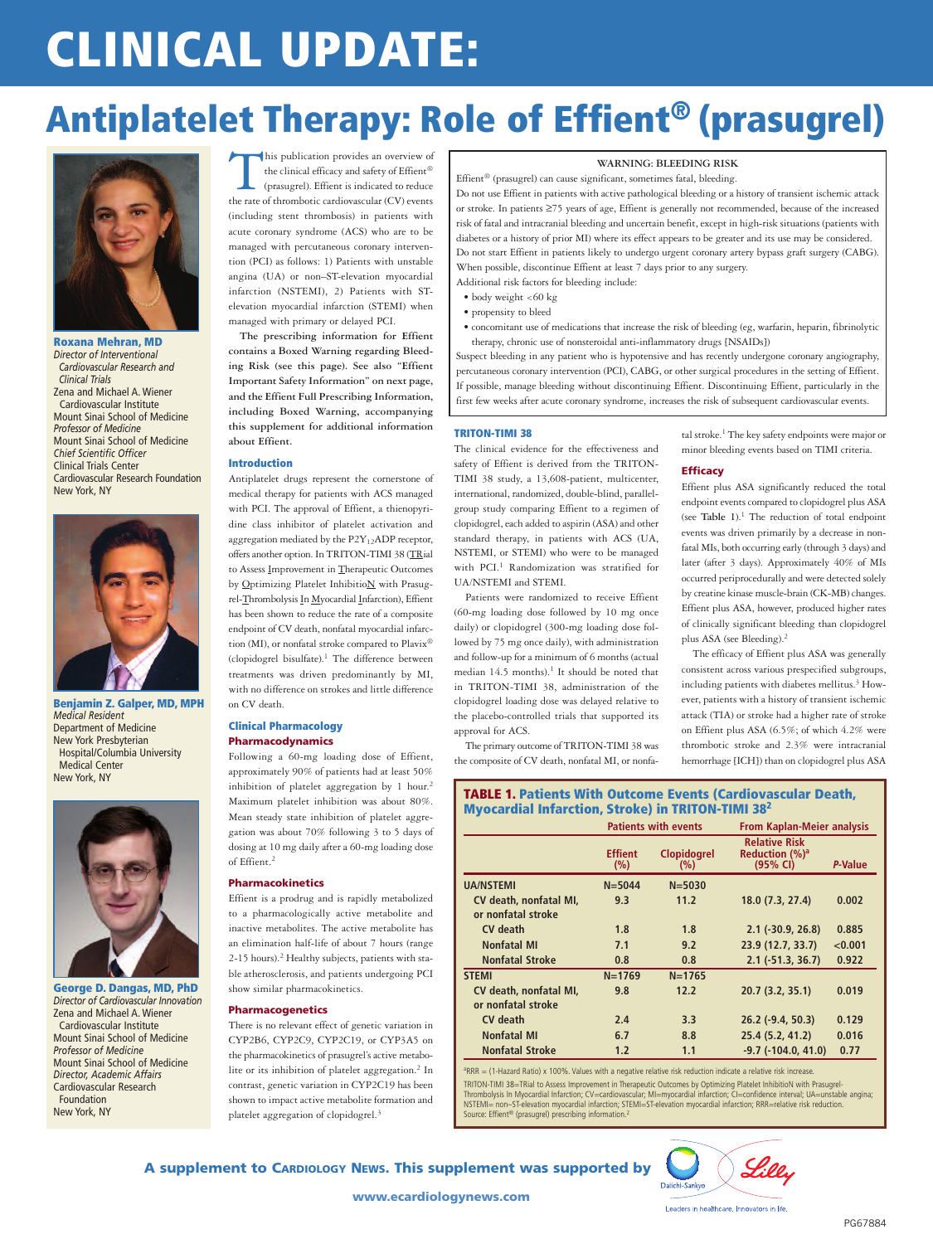# **CLINICAL UPDATE:**

# **Antiplatelet Therapy: Role of Effient® (prasugrel)**



**Roxana Mehran, MD** *Director of Interventional Cardiovascular Research and Clinical Trials* Zena and Michael A. Wiener Cardiovascular Institute Mount Sinai School of Medicine *Professor of Medicine* Mount Sinai School of Medicine *Chief Scientific Officer* Clinical Trials Center Cardiovascular Research Foundation New York, NY



**Benjamin Z. Galper, MD, MPH** *Medical Resident* Department of Medicine New York Presbyterian Hospital/Columbia University Medical Center New York, NY



**George D. Dangas, MD, PhD** *Director of Cardiovascular Innovation* Zena and Michael A. Wiener Cardiovascular Institute Mount Sinai School of Medicine *Professor of Medicine* Mount Sinai School of Medicine *Director, Academic Affairs* Cardiovascular Research Foundation New York, NY

This publication provides an overview of<br>the clinical efficacy and safety of Effient®<br>(prasugrel). Effient is indicated to reduce<br>the rate of thrombotic cardiovascular (CV) events the clinical efficacy and safety of Effient ® (prasugrel). Effient is indicated to reduce

the rate of thrombotic cardiovascular (CV) events (including stent thrombosis) in patients with acute coronary syndrome (ACS) who are to be managed with percutaneous coronary intervention (PCI) as follows: 1) Patients with unstable angina (UA) or non–ST-elevation myocardial infarction (NSTEMI), 2) Patients with STelevation myocardial infarction (STEMI) when managed with primary or delayed PCI.

**The prescribing information for Effient contains a Boxed Warning regarding Bleeding Risk (see this page). See also "Effient Important Safety Information" on next page, and the Effient Full Prescribing Information, including Boxed Warning, accompanying this supplement for additional information about Effient.**

#### **Introduction**

Antiplatelet drugs represent the cornerstone of medical therapy for patients with ACS managed with PCI. The approval of Effient, a thienopyridine class inhibitor of platelet activation and aggregation mediated by the  $P2Y_{12}ADP$  receptor, offersanother option. In TRITON-TIMI 38 (TRial to Assess Improvement in Therapeutic Outcomes by Optimizing Platelet InhibitioN with Prasugrel-Thrombolysis In Myocardial Infarction), Effient has been shown to reduce the rate of a composite endpoint of CV death, nonfatal myocardial infarction (MI), or nonfatal stroke compared to  $\operatorname{Plavix}^{\circledast}$ (clopidogrel bisulfate). <sup>1</sup> The difference between treatments was driven predominantly by MI, with no difference on strokes and little difference on CV death.

# **Clinical Pharmacology Pharmacodynamics**

Following a 60-mg loading dose of Effient, approximately 90% of patients had at least 50% inhibition of platelet aggregation by 1 hour. 2 Maximum platelet inhibition was about 80%. Mean steady state inhibition of platelet aggregation was about 70% following 3 to 5 days of dosing at 10 mg daily after a 60-mg loading dose of Effient. 2

#### **Pharmacokinetics**

Effient is a prodrug and is rapidly metabolized to a pharmacologically active metabolite and inactive metabolites. The active metabolite has an elimination half-life of about 7 hours (range 2-15 hours). <sup>2</sup> Healthy subjects, patients with stable atherosclerosis, and patients undergoing PCI show similar pharmacokinetics.

### **Pharmacogenetics**

There is no relevant effect of genetic variation in CYP2B6, CYP2C9, CYP2C19, or CYP3A5 on the pharmacokinetics of prasugrel's active metabolite or its inhibition of platelet aggregation. <sup>2</sup> In contrast, genetic variation in CYP2C19 has been shown to impact active metabolite formation and platelet aggregation of clopidogrel.<sup>3</sup>

# **WARNING: BLEEDING RISK**

Effient ® (prasugrel) can cause significant, sometimes fatal, bleeding.

Do not use Effient in patients with active pathological bleeding or a history of transient ischemic attack or stroke. In patients ≥75 years of age, Effient is generally not recommended, because of the increased risk of fatal and intracranial bleeding and uncertain benefit, except in high-risk situations (patients with diabetes or a history of prior MI) where its effect appears to be greater and its use may be considered. Do not start Effient in patients likely to undergo urgent coronary artery bypass graft surgery (CABG). When possible, discontinue Effient at least 7 days prior to any surgery.

Additional risk factors for bleeding include:

- body weight <60 kg
- propensity to bleed
- concomitant use of medications that increase the risk of bleeding (eg, warfarin, heparin, fibrinolytic therapy, chronic use of nonsteroidal anti-inflammatory drugs [NSAIDs])

Suspect bleeding in any patient who is hypotensive and has recently undergone coronary angiography, percutaneous coronary intervention (PCI), CABG, or other surgical procedures in the setting of Effient. If possible, manage bleeding without discontinuing Effient. Discontinuing Effient, particularly in the first few weeks after acute coronary syndrome, increases the risk of subsequent cardiovascular events.

#### **TRITON-TIMI 38**

The clinical evidence for the effectiveness and safety of Effient is derived from the TRITON-TIMI 38 study, a 13,608-patient, multicenter, international, randomized, double-blind, parallelgroup study comparing Effient to a regimen of clopidogrel, each added to aspirin (ASA) and other standard therapy, in patients with ACS (UA, NSTEMI, or STEMI) who were to be managed with PCI. <sup>1</sup> Randomization was stratified for UA/NSTEMI and STEMI.

Patients were randomized to receive Effient (60-mg loading dose followed by 10 mg once daily) or clopidogrel (300-mg loading dose followed by 75 mg once daily), with administration and follow-up for a minimum of 6 months (actual median 14.5 months). <sup>1</sup> It should be noted that in TRITON-TIMI 38, administration of the clopidogrel loading dose was delayed relative to the placebo-controlled trials that supported its approval for ACS.

The primary outcome of TRITON-TIMI 38 was the composite of CV death, nonfatal MI, or nonfaminor bleeding events based on TIMI criteria. **Efficacy**

tal stroke. <sup>1</sup> The key safety endpoints were major or

Effient plus ASA significantly reduced the total endpoint events compared to clopidogrel plus ASA (see **Table 1**). <sup>1</sup> The reduction of total endpoint events was driven primarily by a decrease in nonfatal MIs, both occurring early (through 3 days) and later (after 3 days). Approximately 40% of MIs occurred periprocedurally and were detected solely by creatine kinase muscle-brain (CK-MB) changes. Effient plus ASA, however, produced higher rates of clinically significant bleeding than clopidogrel plus ASA (see Bleeding). 2

The efficacy of Effient plus ASA was generally consistent across various prespecified subgroups, including patients with diabetes mellitus. <sup>3</sup> However, patients with a history of transient ischemic attack (TIA) or stroke had a higher rate of stroke on Effient plus ASA (6.5%; of which 4.2% were thrombotic stroke and 2.3% were intracranial hemorrhage [ICH]) than on clopidogrel plus ASA

**TABLE 1. Patients With Outcome Events (Cardiovascular Death, Myocardial Infarction, Stroke) in TRITON-TIMI 382**

|                                              | <b>Patients with events</b> |                           | <b>From Kaplan-Meier analysis</b>                              |         |
|----------------------------------------------|-----------------------------|---------------------------|----------------------------------------------------------------|---------|
|                                              | <b>Effient</b><br>(%)       | <b>Clopidogrel</b><br>(%) | <b>Relative Risk</b><br>Reduction (%) <sup>a</sup><br>(95% CI) | P-Value |
| <b>UA/NSTEMI</b>                             | $N = 5044$                  | $N = 5030$                |                                                                |         |
| CV death, nonfatal MI,<br>or nonfatal stroke | 9.3                         | 11.2                      | 18.0 (7.3, 27.4)                                               | 0.002   |
| CV death                                     | 1.8                         | 1.8                       | $2.1$ (-30.9, 26.8)                                            | 0.885   |
| <b>Nonfatal MI</b>                           | 7.1                         | 9.2                       | 23.9 (12.7, 33.7)                                              | < 0.001 |
| <b>Nonfatal Stroke</b>                       | 0.8                         | 0.8                       | $2.1$ ( $-51.3$ , $36.7$ )                                     | 0.922   |
| <b>STEMI</b>                                 | $N = 1769$                  | $N = 1765$                |                                                                |         |
| CV death, nonfatal MI,<br>or nonfatal stroke | 9.8                         | 12.2                      | 20.7(3.2, 35.1)                                                | 0.019   |
| CV death                                     | 2.4                         | 3.3                       | $26.2$ (-9.4, 50.3)                                            | 0.129   |
| <b>Nonfatal MI</b>                           | 6.7                         | 8.8                       | 25.4 (5.2, 41.2)                                               | 0.016   |
| <b>Nonfatal Stroke</b>                       | 1.2                         | 1.1                       | $-9.7$ $(-104.0, 41.0)$                                        | 0.77    |

a RRR = (1-Hazard Ratio) x 100%. Values with a negative relative risk reduction indicate a relative risk increase. TRITON-TIMI 38=TRial to Assess Improvement in Therapeutic Outcomes by Optimizing Platelet InhibitioN with Prasugrel-Thrombolysis In Myocardial Infarction; CV=cardiovascular; MI=myocardial infarction; CI=confidence interval; UA=unstable angina; NSTEMI= non–ST-elevation myocardial infarction; STEMI=ST-elevation myocardial infarction; RRR=relative risk reduction. Source: Effient<sup>®</sup> (prasugrel) prescribing information.<sup>2</sup>



**A supplement to CARDIOLOGY NEWS. This supplement was supported by**

**www.ecardiologynews.com**

Leaders in healthcare. Innovators in life.